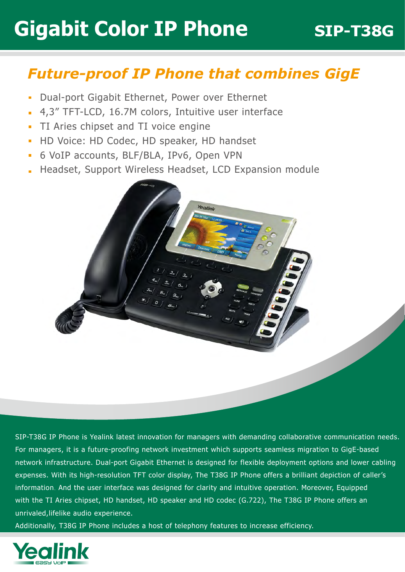## **Gigabit Color IP Phone 5IP-T38G**

### *Future-proof IP Phone that combines GigE*

- Dual-port Gigabit Ethernet, Power over Ethernet  $\overline{\phantom{a}}$
- 4,3" TFT-LCD, 16.7M colors, Intuitive user interface
- TI Aries chipset and TI voice engine  $\blacksquare$
- HD Voice: HD Codec, HD speaker, HD handset  $\overline{\phantom{a}}$
- 6 VoIP accounts, BLF/BLA, IPv6, Open VPN  $\overline{\phantom{a}}$
- Headset, Support Wireless Headset, LCD Expansion module÷



SIP-T38G IP Phone is Yealink latest innovation for managers with demanding collaborative communication needs. For managers, it is a future-proofing network investment which supports seamless migration to GigE-based network infrastructure. Dual-port Gigabit Ethernet is designed for flexible deployment options and lower cabling expenses. With its high-resolution TFT color display, The T38G IP Phone offers a brilliant depiction of caller's information. And the user interface was designed for clarity and intuitive operation. Moreover, Equipped with the TI Aries chipset, HD handset, HD speaker and HD codec (G.722), The T38G IP Phone offers an unrivaled,lifelike audio experience.

Additionally, T38G IP Phone includes a host of telephony features to increase efficiency.